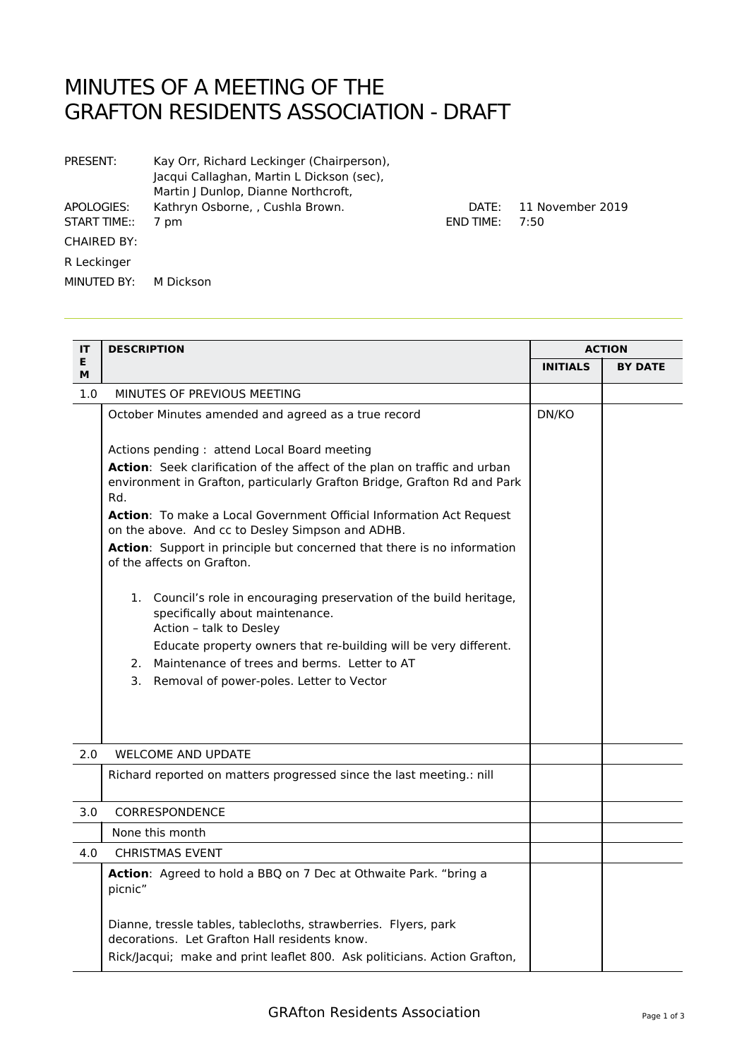## MINUTES OF A MEETING OF THE GRAFTON RESIDENTS ASSOCIATION - DRAFT

| PRESENT:                   | Kay Orr, Richard Leckinger (Chairperson),<br>Jacqui Callaghan, Martin L Dickson (sec),<br>Martin J Dunlop, Dianne Northcroft, |                           |                          |
|----------------------------|-------------------------------------------------------------------------------------------------------------------------------|---------------------------|--------------------------|
| APOLOGIES:<br>START TIME:: | Kathryn Osborne, , Cushla Brown.<br>7 pm                                                                                      | DATF:<br><b>END TIME:</b> | 11 November 2019<br>7:50 |
| <b>CHAIRED BY:</b>         |                                                                                                                               |                           |                          |
| R Leckinger                |                                                                                                                               |                           |                          |
| MINUTED BY:                | M Dickson                                                                                                                     |                           |                          |

| IT      | <b>DESCRIPTION</b>                                                                                                                 |                 | <b>ACTION</b>  |  |
|---------|------------------------------------------------------------------------------------------------------------------------------------|-----------------|----------------|--|
| E.<br>м |                                                                                                                                    | <b>INITIALS</b> | <b>BY DATE</b> |  |
| 1.0     | MINUTES OF PREVIOUS MEETING                                                                                                        |                 |                |  |
|         | October Minutes amended and agreed as a true record                                                                                | DN/KO           |                |  |
|         | Actions pending: attend Local Board meeting<br>Action: Seek clarification of the affect of the plan on traffic and urban           |                 |                |  |
|         | environment in Grafton, particularly Grafton Bridge, Grafton Rd and Park<br>Rd.                                                    |                 |                |  |
|         | Action: To make a Local Government Official Information Act Request<br>on the above. And cc to Desley Simpson and ADHB.            |                 |                |  |
|         | Action: Support in principle but concerned that there is no information<br>of the affects on Grafton.                              |                 |                |  |
|         | 1. Council's role in encouraging preservation of the build heritage,<br>specifically about maintenance.<br>Action - talk to Desley |                 |                |  |
|         | Educate property owners that re-building will be very different.                                                                   |                 |                |  |
|         | 2. Maintenance of trees and berms. Letter to AT                                                                                    |                 |                |  |
|         | 3. Removal of power-poles. Letter to Vector                                                                                        |                 |                |  |
| 2.0     | <b>WELCOME AND UPDATE</b>                                                                                                          |                 |                |  |
|         | Richard reported on matters progressed since the last meeting.: nill                                                               |                 |                |  |
| 3.0     | <b>CORRESPONDENCE</b>                                                                                                              |                 |                |  |
|         | None this month                                                                                                                    |                 |                |  |
| 4.0     | <b>CHRISTMAS EVENT</b>                                                                                                             |                 |                |  |
|         | Action: Agreed to hold a BBQ on 7 Dec at Othwaite Park. "bring a<br>picnic"                                                        |                 |                |  |
|         | Dianne, tressle tables, tablecloths, strawberries. Flyers, park<br>decorations. Let Grafton Hall residents know.                   |                 |                |  |
|         | Rick/Jacqui; make and print leaflet 800. Ask politicians. Action Grafton,                                                          |                 |                |  |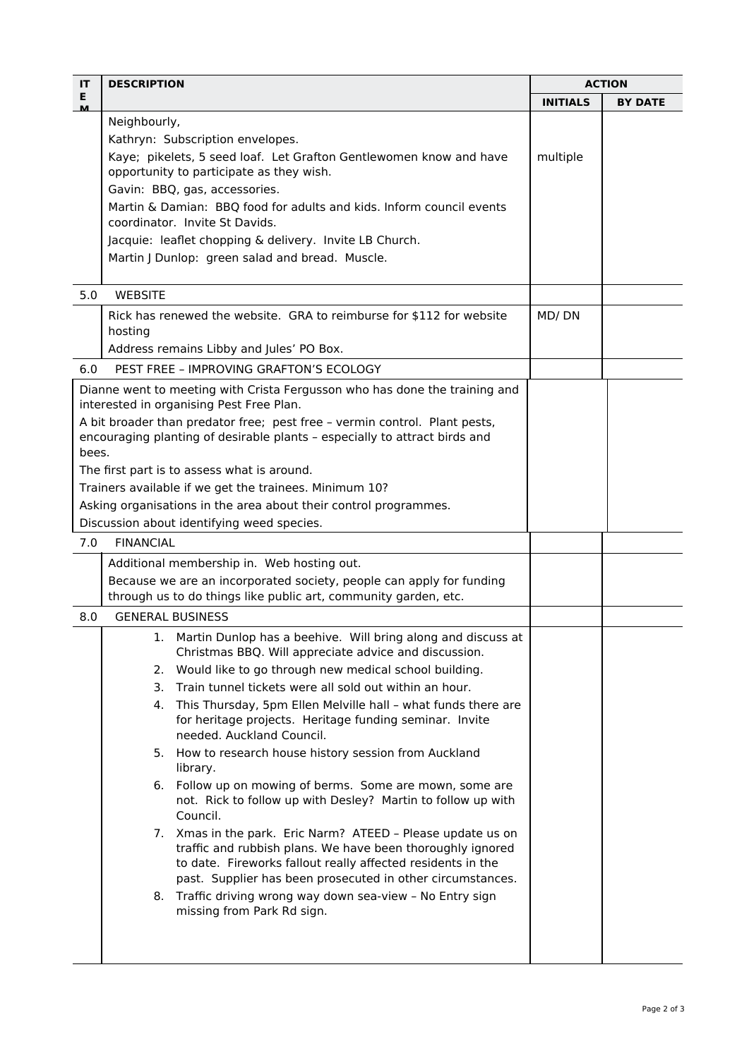| IT             | <b>DESCRIPTION</b>                                                                                                                                                                       | <b>ACTION</b>   |                |
|----------------|------------------------------------------------------------------------------------------------------------------------------------------------------------------------------------------|-----------------|----------------|
| E.<br><u>м</u> |                                                                                                                                                                                          | <b>INITIALS</b> | <b>BY DATE</b> |
|                | Neighbourly,                                                                                                                                                                             |                 |                |
|                | Kathryn: Subscription envelopes.                                                                                                                                                         |                 |                |
|                | Kaye; pikelets, 5 seed loaf. Let Grafton Gentlewomen know and have                                                                                                                       | multiple        |                |
|                | opportunity to participate as they wish.<br>Gavin: BBQ, gas, accessories.                                                                                                                |                 |                |
|                | Martin & Damian: BBQ food for adults and kids. Inform council events                                                                                                                     |                 |                |
|                | coordinator. Invite St Davids.                                                                                                                                                           |                 |                |
|                | Jacquie: leaflet chopping & delivery. Invite LB Church.                                                                                                                                  |                 |                |
|                | Martin J Dunlop: green salad and bread. Muscle.                                                                                                                                          |                 |                |
|                |                                                                                                                                                                                          |                 |                |
| 5.0            | <b>WEBSITE</b>                                                                                                                                                                           |                 |                |
|                | Rick has renewed the website. GRA to reimburse for \$112 for website<br>hosting                                                                                                          | MD/DN           |                |
|                | Address remains Libby and Jules' PO Box.                                                                                                                                                 |                 |                |
| 6.0            | PEST FREE - IMPROVING GRAFTON'S FCOLOGY                                                                                                                                                  |                 |                |
|                | Dianne went to meeting with Crista Fergusson who has done the training and<br>interested in organising Pest Free Plan.                                                                   |                 |                |
|                | A bit broader than predator free; pest free - vermin control. Plant pests,                                                                                                               |                 |                |
|                | encouraging planting of desirable plants - especially to attract birds and                                                                                                               |                 |                |
| bees.          | The first part is to assess what is around.                                                                                                                                              |                 |                |
|                | Trainers available if we get the trainees. Minimum 10?                                                                                                                                   |                 |                |
|                | Asking organisations in the area about their control programmes.                                                                                                                         |                 |                |
|                | Discussion about identifying weed species.                                                                                                                                               |                 |                |
| 7.0            | <b>FINANCIAL</b>                                                                                                                                                                         |                 |                |
|                | Additional membership in. Web hosting out.                                                                                                                                               |                 |                |
|                | Because we are an incorporated society, people can apply for funding                                                                                                                     |                 |                |
|                | through us to do things like public art, community garden, etc.                                                                                                                          |                 |                |
| 8.0            | <b>GENERAL BUSINESS</b>                                                                                                                                                                  |                 |                |
|                | 1. Martin Dunlop has a beehive. Will bring along and discuss at                                                                                                                          |                 |                |
|                | Christmas BBQ. Will appreciate advice and discussion.                                                                                                                                    |                 |                |
|                | Would like to go through new medical school building.<br>2.                                                                                                                              |                 |                |
|                | Train tunnel tickets were all sold out within an hour.<br>3.                                                                                                                             |                 |                |
|                | This Thursday, 5pm Ellen Melville hall - what funds there are<br>4.<br>for heritage projects. Heritage funding seminar. Invite<br>needed. Auckland Council.                              |                 |                |
|                | 5. How to research house history session from Auckland<br>library.                                                                                                                       |                 |                |
|                | Follow up on mowing of berms. Some are mown, some are<br>6.<br>not. Rick to follow up with Desley? Martin to follow up with                                                              |                 |                |
|                | Council.                                                                                                                                                                                 |                 |                |
|                | 7. Xmas in the park. Eric Narm? ATEED - Please update us on<br>traffic and rubbish plans. We have been thoroughly ignored<br>to date. Fireworks fallout really affected residents in the |                 |                |
|                | past. Supplier has been prosecuted in other circumstances.                                                                                                                               |                 |                |
|                | 8. Traffic driving wrong way down sea-view - No Entry sign<br>missing from Park Rd sign.                                                                                                 |                 |                |
|                |                                                                                                                                                                                          |                 |                |
|                |                                                                                                                                                                                          |                 |                |